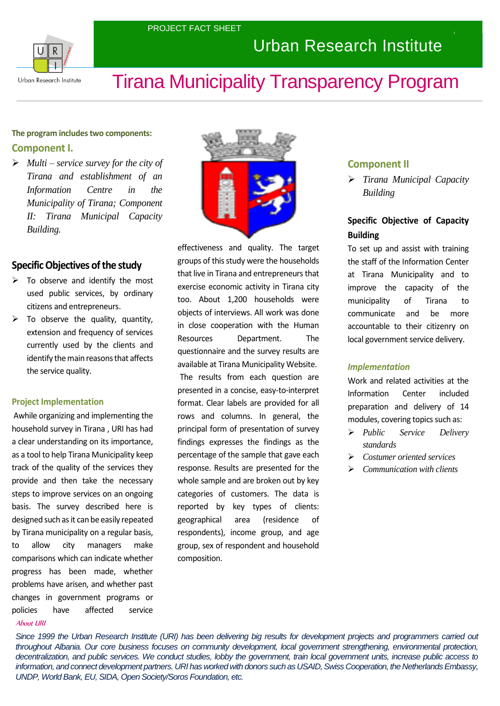

## Urban Research Institute

# Tirana Municipality Transparency Program

## **The program includes two components: Component I.**

 *Multi – service survey for the city of Tirana and establishment of an Information Centre in the Municipality of Tirana; Component II: Tirana Municipal Capacity Building.*

## **Specific Objectives of the study**

- $\triangleright$  To observe and identify the most used public services, by ordinary citizens and entrepreneurs.
- To observe the quality, quantity, extension and frequency of services currently used by the clients and identify the main reasons that affects the service quality.

#### **Project Implementation**

Awhile organizing and implementing the household survey in Tirana , URI has had a clear understanding on its importance, as a tool to help Tirana Municipality keep track of the quality of the services they provide and then take the necessary steps to improve services on an ongoing basis. The survey described here is designed such as it can be easily repeated by Tirana municipality on a regular basis, to allow city managers make comparisons which can indicate whether progress has been made, whether problems have arisen, and whether past changes in government programs or policies have affected service



effectiveness and quality. The target groups of this study were the households that live in Tirana and entrepreneurs that exercise economic activity in Tirana city too. About 1,200 households were objects of interviews. All work was done in close cooperation with the Human Resources Department. The questionnaire and the survey results are available at Tirana Municipality Website.

The results from each question are presented in a concise, easy-to-interpret format. Clear labels are provided for all rows and columns. In general, the principal form of presentation of survey findings expresses the findings as the percentage of the sample that gave each response. Results are presented for the whole sample and are broken out by key categories of customers. The data is reported by key types of clients: geographical area (residence of respondents), income group, and age group, sex of respondent and household composition.

## **Component II**

 *Tirana Municipal Capacity Building*

## **Specific Objective of Capacity Building**

To set up and assist with training the staff of the Information Center at Tirana Municipality and to improve the capacity of the municipality of Tirana to communicate and be more accountable to their citizenry on local government service delivery.

#### *Implementation*

Work and related activities at the Information Center included preparation and delivery of 14 modules, covering topics such as:

- *Public Service Delivery standards*
- *Costumer oriented services*
- *Communication with clients*

#### About URI

*Since 1999 the Urban Research Institute (URI) has been delivering big results for development projects and programmers carried out throughout Albania. Our core business focuses on community development, local government strengthening, environmental protection, decentralization, and public services. We conduct studies, lobby the government, train local government units, increase public access to information, and connect development partners. URI has worked with donors such as USAID, Swiss Cooperation, the Netherlands Embassy, UNDP, World Bank, EU, SIDA, Open Society/Soros Foundation, etc.*